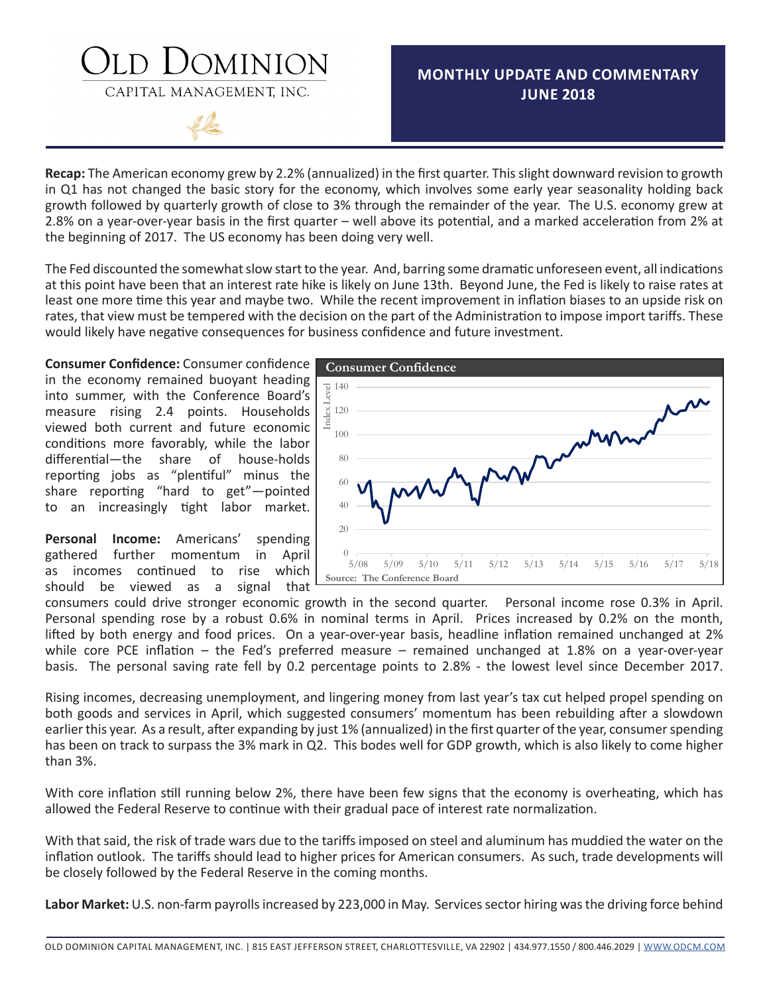## DOMINION

CAPITAL MANAGEMENT, INC.

## **MONTHLY UPDATE AND COMMENTARY JUNE 2018**



**Recap:** The American economy grew by 2.2% (annualized) in the first quarter. This slight downward revision to growth in Q1 has not changed the basic story for the economy, which involves some early year seasonality holding back growth followed by quarterly growth of close to 3% through the remainder of the year. The U.S. economy grew at 2.8% on a year-over-year basis in the first quarter – well above its potential, and a marked acceleration from 2% at the beginning of 2017. The US economy has been doing very well.

The Fed discounted the somewhat slow start to the year. And, barring some dramatic unforeseen event, all indications at this point have been that an interest rate hike is likely on June 13th. Beyond June, the Fed is likely to raise rates at least one more time this year and maybe two. While the recent improvement in inflation biases to an upside risk on rates, that view must be tempered with the decision on the part of the Administration to impose import tariffs. These would likely have negative consequences for business confidence and future investment.

**Consumer Confidence:** Consumer confidence in the economy remained buoyant heading into summer, with the Conference Board's measure rising 2.4 points. Households viewed both current and future economic conditions more favorably, while the labor differential—the share of house-holds reporting jobs as "plentiful" minus the share reporting "hard to get"—pointed to an increasingly tight labor market.

**Personal Income:** Americans' spending gathered further momentum in April as incomes continued to rise which should be viewed as a signal that



consumers could drive stronger economic growth in the second quarter. Personal income rose 0.3% in April. Personal spending rose by a robust 0.6% in nominal terms in April. Prices increased by 0.2% on the month, lifted by both energy and food prices. On a year-over-year basis, headline inflation remained unchanged at 2% while core PCE inflation – the Fed's preferred measure – remained unchanged at 1.8% on a year-over-year basis. The personal saving rate fell by 0.2 percentage points to 2.8% - the lowest level since December 2017.

Rising incomes, decreasing unemployment, and lingering money from last year's tax cut helped propel spending on both goods and services in April, which suggested consumers' momentum has been rebuilding after a slowdown earlier this year. As a result, after expanding by just 1% (annualized) in the first quarter of the year, consumer spending has been on track to surpass the 3% mark in Q2. This bodes well for GDP growth, which is also likely to come higher than 3%.

With core inflation still running below 2%, there have been few signs that the economy is overheating, which has allowed the Federal Reserve to continue with their gradual pace of interest rate normalization.

With that said, the risk of trade wars due to the tariffs imposed on steel and aluminum has muddied the water on the inflation outlook. The tariffs should lead to higher prices for American consumers. As such, trade developments will be closely followed by the Federal Reserve in the coming months.

**Labor Market:** U.S. non-farm payrolls increased by 223,000 in May. Services sector hiring was the driving force behind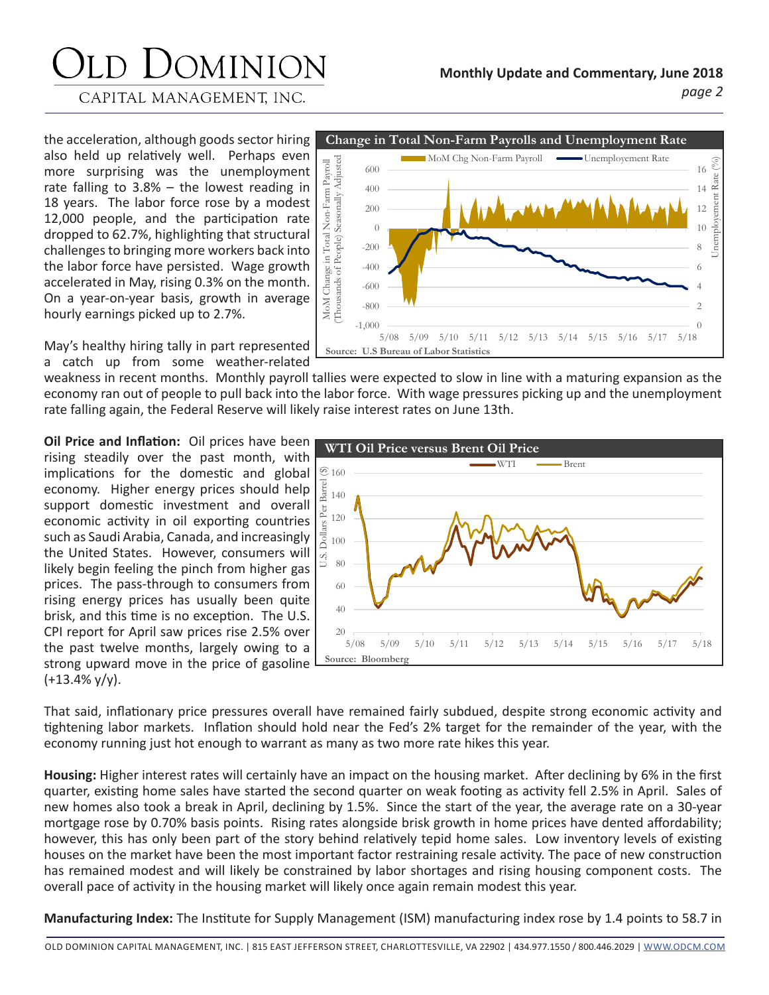# JOMINION

CAPITAL MANAGEMENT, INC.

the acceleration, although goods sector hiring also held up relatively well. Perhaps even more surprising was the unemployment rate falling to 3.8% – the lowest reading in 18 years. The labor force rose by a modest 12,000 people, and the participation rate dropped to 62.7%, highlighting that structural challenges to bringing more workers back into the labor force have persisted. Wage growth accelerated in May, rising 0.3% on the month. On a year-on-year basis, growth in average hourly earnings picked up to 2.7%.

**Change in Total Non-Farm Payrolls and Unemployment Rate** MoM Chg Non-Farm Payroll **Communist Communist Rate** MoM Change in Total Non-Farm Payroll<br>(Thousands of People) Seasonally Adjusted (Thousands of People) Seasonally Adjusted  $\mathcal{O}_0$ Unemployement Rate (%) MoM Change in Total Non-Farm Payroll 600 16  $\mathfrak{L}$  $Ra$ 400 14 ployement 12 200 10  $\theta$ Inem -200 8 -400 6 -600 4 -800  $\mathfrak{D}$ -1,000  $\theta$ 5/08 5/09 5/10 5/11 5/12 5/13 5/14 5/15 5/16 5/17 5/18 **Source: U.S Bureau of Labor Statistics**

May's healthy hiring tally in part represented a catch up from some weather-related

weakness in recent months. Monthly payroll tallies were expected to slow in line with a maturing expansion as the economy ran out of people to pull back into the labor force. With wage pressures picking up and the unemployment rate falling again, the Federal Reserve will likely raise interest rates on June 13th.

**Oil Price and Inflation:** Oil prices have been rising steadily over the past month, with implications for the domestic and global economy. Higher energy prices should help support domestic investment and overall economic activity in oil exporting countries such as Saudi Arabia, Canada, and increasingly the United States. However, consumers will likely begin feeling the pinch from higher gas prices. The pass-through to consumers from rising energy prices has usually been quite brisk, and this time is no exception. The U.S. CPI report for April saw prices rise 2.5% over the past twelve months, largely owing to a strong upward move in the price of gasoline  $(+13.4\%$  y/y).



That said, inflationary price pressures overall have remained fairly subdued, despite strong economic activity and tightening labor markets. Inflation should hold near the Fed's 2% target for the remainder of the year, with the economy running just hot enough to warrant as many as two more rate hikes this year.

**Housing:** Higher interest rates will certainly have an impact on the housing market. After declining by 6% in the first quarter, existing home sales have started the second quarter on weak footing as activity fell 2.5% in April. Sales of new homes also took a break in April, declining by 1.5%. Since the start of the year, the average rate on a 30-year mortgage rose by 0.70% basis points. Rising rates alongside brisk growth in home prices have dented affordability; however, this has only been part of the story behind relatively tepid home sales. Low inventory levels of existing houses on the market have been the most important factor restraining resale activity. The pace of new construction has remained modest and will likely be constrained by labor shortages and rising housing component costs. The overall pace of activity in the housing market will likely once again remain modest this year.

**Manufacturing Index:** The Institute for Supply Management (ISM) manufacturing index rose by 1.4 points to 58.7 in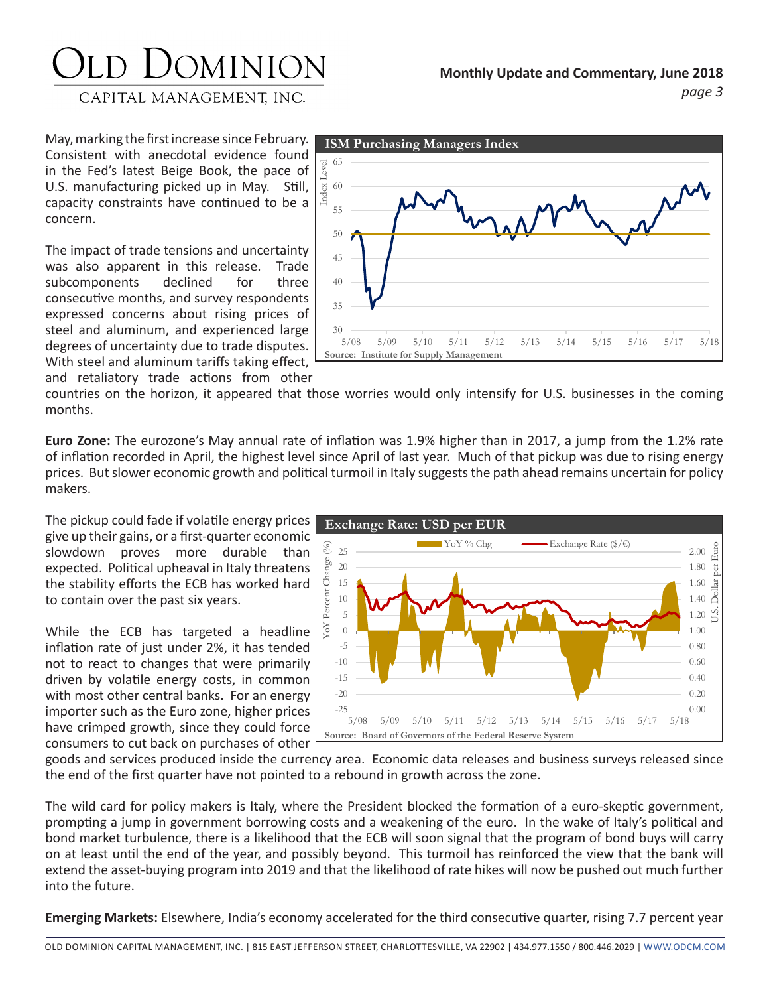# JOMINION

CAPITAL MANAGEMENT, INC.

May, marking the first increase since February. Consistent with anecdotal evidence found in the Fed's latest Beige Book, the pace of U.S. manufacturing picked up in May. Still, capacity constraints have continued to be a concern.

The impact of trade tensions and uncertainty was also apparent in this release. Trade subcomponents declined for three consecutive months, and survey respondents expressed concerns about rising prices of steel and aluminum, and experienced large degrees of uncertainty due to trade disputes. With steel and aluminum tariffs taking effect, and retaliatory trade actions from other



countries on the horizon, it appeared that those worries would only intensify for U.S. businesses in the coming months.

**Euro Zone:** The eurozone's May annual rate of inflation was 1.9% higher than in 2017, a jump from the 1.2% rate of inflation recorded in April, the highest level since April of last year. Much of that pickup was due to rising energy prices. But slower economic growth and political turmoil in Italy suggests the path ahead remains uncertain for policy makers.

The pickup could fade if volatile energy prices give up their gains, or a first-quarter economic slowdown proves more durable than expected. Political upheaval in Italy threatens the stability efforts the ECB has worked hard to contain over the past six years.

While the ECB has targeted a headline inflation rate of just under 2%, it has tended not to react to changes that were primarily driven by volatile energy costs, in common with most other central banks. For an energy importer such as the Euro zone, higher prices have crimped growth, since they could force consumers to cut back on purchases of other



goods and services produced inside the currency area. Economic data releases and business surveys released since the end of the first quarter have not pointed to a rebound in growth across the zone.

The wild card for policy makers is Italy, where the President blocked the formation of a euro-skeptic government, prompting a jump in government borrowing costs and a weakening of the euro. In the wake of Italy's political and bond market turbulence, there is a likelihood that the ECB will soon signal that the program of bond buys will carry on at least until the end of the year, and possibly beyond. This turmoil has reinforced the view that the bank will extend the asset-buying program into 2019 and that the likelihood of rate hikes will now be pushed out much further into the future.

**Emerging Markets:** Elsewhere, India's economy accelerated for the third consecutive quarter, rising 7.7 percent year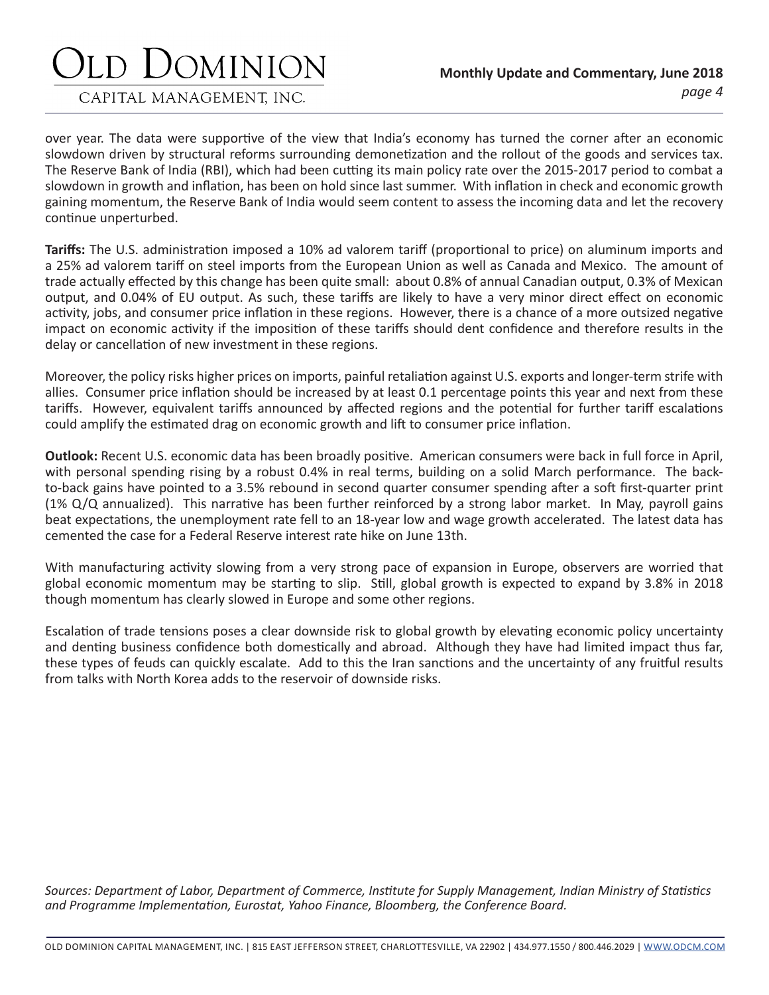## JOMINION

CAPITAL MANAGEMENT, INC.

over year. The data were supportive of the view that India's economy has turned the corner after an economic slowdown driven by structural reforms surrounding demonetization and the rollout of the goods and services tax. The Reserve Bank of India (RBI), which had been cutting its main policy rate over the 2015-2017 period to combat a slowdown in growth and inflation, has been on hold since last summer. With inflation in check and economic growth gaining momentum, the Reserve Bank of India would seem content to assess the incoming data and let the recovery continue unperturbed.

**Tariffs:** The U.S. administration imposed a 10% ad valorem tariff (proportional to price) on aluminum imports and a 25% ad valorem tariff on steel imports from the European Union as well as Canada and Mexico. The amount of trade actually effected by this change has been quite small: about 0.8% of annual Canadian output, 0.3% of Mexican output, and 0.04% of EU output. As such, these tariffs are likely to have a very minor direct effect on economic activity, jobs, and consumer price inflation in these regions. However, there is a chance of a more outsized negative impact on economic activity if the imposition of these tariffs should dent confidence and therefore results in the delay or cancellation of new investment in these regions.

Moreover, the policy risks higher prices on imports, painful retaliation against U.S. exports and longer-term strife with allies. Consumer price inflation should be increased by at least 0.1 percentage points this year and next from these tariffs. However, equivalent tariffs announced by affected regions and the potential for further tariff escalations could amplify the estimated drag on economic growth and lift to consumer price inflation.

**Outlook:** Recent U.S. economic data has been broadly positive. American consumers were back in full force in April, with personal spending rising by a robust 0.4% in real terms, building on a solid March performance. The backto-back gains have pointed to a 3.5% rebound in second quarter consumer spending after a soft first-quarter print (1% Q/Q annualized). This narrative has been further reinforced by a strong labor market. In May, payroll gains beat expectations, the unemployment rate fell to an 18-year low and wage growth accelerated. The latest data has cemented the case for a Federal Reserve interest rate hike on June 13th.

With manufacturing activity slowing from a very strong pace of expansion in Europe, observers are worried that global economic momentum may be starting to slip. Still, global growth is expected to expand by 3.8% in 2018 though momentum has clearly slowed in Europe and some other regions.

Escalation of trade tensions poses a clear downside risk to global growth by elevating economic policy uncertainty and denting business confidence both domestically and abroad. Although they have had limited impact thus far, these types of feuds can quickly escalate. Add to this the Iran sanctions and the uncertainty of any fruitful results from talks with North Korea adds to the reservoir of downside risks.

*Sources: Department of Labor, Department of Commerce, Institute for Supply Management, Indian Ministry of Statistics and Programme Implementation, Eurostat, Yahoo Finance, Bloomberg, the Conference Board.*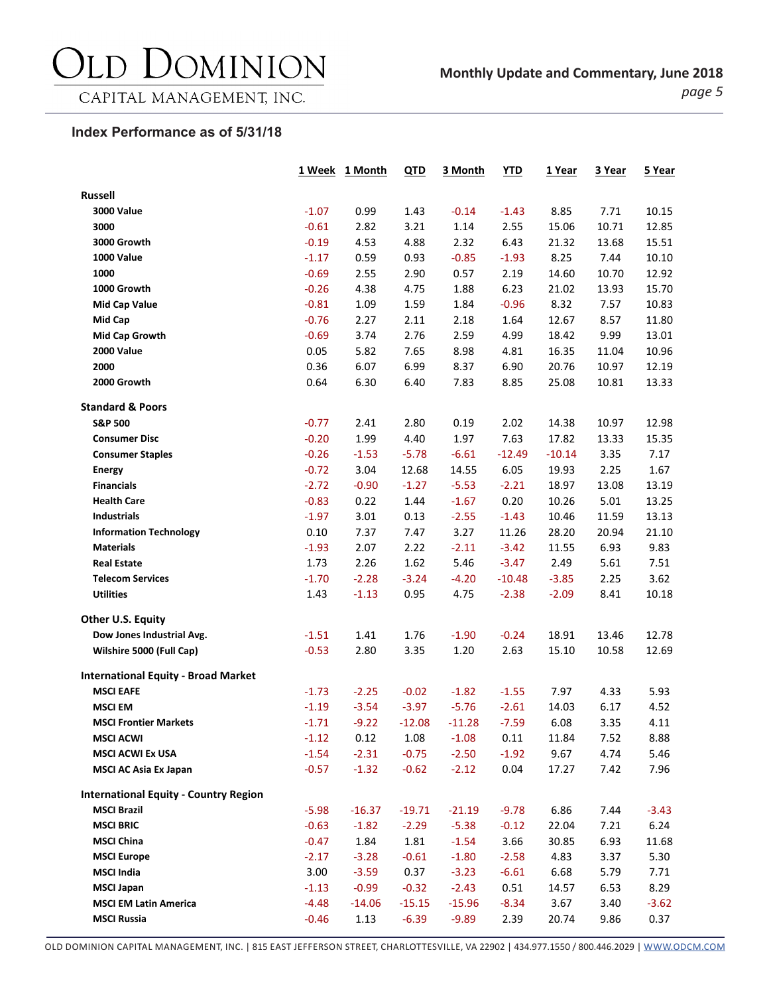## DOMINION  $\sum$

## **Index Performance as of 5/31/18**

|                                                         | 1 Week             | 1 Month            | <u>QTD</u>         | 3 Month            | <b>YTD</b>         | 1 Year        | 3 Year       | 5 Year       |
|---------------------------------------------------------|--------------------|--------------------|--------------------|--------------------|--------------------|---------------|--------------|--------------|
| <b>Russell</b>                                          |                    |                    |                    |                    |                    |               |              |              |
| <b>3000 Value</b>                                       | $-1.07$            | 0.99               | 1.43               | $-0.14$            | $-1.43$            | 8.85          | 7.71         | 10.15        |
| 3000                                                    | $-0.61$            | 2.82               | 3.21               | 1.14               | 2.55               | 15.06         | 10.71        | 12.85        |
| 3000 Growth                                             | $-0.19$            | 4.53               | 4.88               | 2.32               | 6.43               | 21.32         | 13.68        | 15.51        |
| <b>1000 Value</b>                                       | $-1.17$            | 0.59               | 0.93               | $-0.85$            | $-1.93$            | 8.25          | 7.44         | 10.10        |
| 1000                                                    | $-0.69$            | 2.55               | 2.90               | 0.57               | 2.19               | 14.60         | 10.70        | 12.92        |
| 1000 Growth                                             | $-0.26$            | 4.38               | 4.75               | 1.88               | 6.23               | 21.02         | 13.93        | 15.70        |
| <b>Mid Cap Value</b>                                    | $-0.81$            | 1.09               | 1.59               | 1.84               | $-0.96$            | 8.32          | 7.57         | 10.83        |
| <b>Mid Cap</b>                                          | $-0.76$            | 2.27               | 2.11               | 2.18               | 1.64               | 12.67         | 8.57         | 11.80        |
| <b>Mid Cap Growth</b>                                   | $-0.69$            | 3.74               | 2.76               | 2.59               | 4.99               | 18.42         | 9.99         | 13.01        |
| <b>2000 Value</b>                                       | 0.05               | 5.82               | 7.65               | 8.98               | 4.81               | 16.35         | 11.04        | 10.96        |
| 2000                                                    | 0.36               | 6.07               | 6.99               | 8.37               | 6.90               | 20.76         | 10.97        | 12.19        |
| 2000 Growth                                             | 0.64               | 6.30               | 6.40               | 7.83               | 8.85               | 25.08         | 10.81        | 13.33        |
| <b>Standard &amp; Poors</b>                             |                    |                    |                    |                    |                    |               |              |              |
| <b>S&amp;P 500</b>                                      | $-0.77$            | 2.41               | 2.80               | 0.19               | 2.02               | 14.38         | 10.97        | 12.98        |
| <b>Consumer Disc</b>                                    | $-0.20$            | 1.99               | 4.40               | 1.97               | 7.63               | 17.82         | 13.33        | 15.35        |
| <b>Consumer Staples</b>                                 | $-0.26$            | $-1.53$            | $-5.78$            | $-6.61$            | $-12.49$           | $-10.14$      | 3.35         | 7.17         |
| <b>Energy</b>                                           | $-0.72$            | 3.04               | 12.68              | 14.55              | 6.05               | 19.93         | 2.25         | 1.67         |
| <b>Financials</b>                                       | $-2.72$            | $-0.90$            | $-1.27$            | $-5.53$            | $-2.21$            | 18.97         | 13.08        | 13.19        |
| <b>Health Care</b>                                      | $-0.83$            | 0.22               | 1.44               | $-1.67$            | 0.20               | 10.26         | 5.01         | 13.25        |
| Industrials                                             | $-1.97$            | 3.01               | 0.13               | $-2.55$            | $-1.43$            | 10.46         | 11.59        | 13.13        |
| <b>Information Technology</b>                           | 0.10               | 7.37               | 7.47               | 3.27               | 11.26              | 28.20         | 20.94        | 21.10        |
| <b>Materials</b>                                        | $-1.93$            | 2.07               | 2.22               | $-2.11$            | $-3.42$            | 11.55         | 6.93         | 9.83         |
| <b>Real Estate</b>                                      | 1.73               | 2.26               | 1.62               | 5.46               | $-3.47$            | 2.49          | 5.61         | 7.51         |
| <b>Telecom Services</b>                                 | $-1.70$            | $-2.28$            | $-3.24$            | $-4.20$            | $-10.48$           | $-3.85$       | 2.25         | 3.62         |
| <b>Utilities</b>                                        | 1.43               | $-1.13$            | 0.95               | 4.75               | $-2.38$            | $-2.09$       | 8.41         | 10.18        |
| Other U.S. Equity                                       |                    |                    |                    |                    |                    |               |              |              |
| Dow Jones Industrial Avg.                               | $-1.51$            | 1.41               | 1.76               | $-1.90$            | $-0.24$            | 18.91         | 13.46        | 12.78        |
| Wilshire 5000 (Full Cap)                                | $-0.53$            | 2.80               | 3.35               | 1.20               | 2.63               | 15.10         | 10.58        | 12.69        |
| <b>International Equity - Broad Market</b>              |                    |                    |                    |                    |                    |               |              |              |
| <b>MSCI EAFE</b>                                        | $-1.73$            | $-2.25$            | $-0.02$            | $-1.82$            | $-1.55$            | 7.97          | 4.33         | 5.93         |
| <b>MSCI EM</b>                                          | $-1.19$            | $-3.54$            | $-3.97$            | $-5.76$            | $-2.61$            | 14.03         | 6.17         | 4.52         |
| <b>MSCI Frontier Markets</b>                            | $-1.71$            | $-9.22$            | $-12.08$           | $-11.28$           | $-7.59$            | 6.08          | 3.35         | 4.11         |
| <b>MSCI ACWI</b>                                        | $-1.12$            | 0.12               | 1.08               | $-1.08$            | 0.11               | 11.84         | 7.52         | 8.88         |
| <b>MSCI ACWI Ex USA</b><br><b>MSCI AC Asia Ex Japan</b> | $-1.54$<br>$-0.57$ | $-2.31$<br>$-1.32$ | $-0.75$<br>$-0.62$ | $-2.50$<br>$-2.12$ | $-1.92$<br>0.04    | 9.67<br>17.27 | 4.74<br>7.42 | 5.46<br>7.96 |
|                                                         |                    |                    |                    |                    |                    |               |              |              |
| <b>International Equity - Country Region</b>            |                    |                    |                    |                    |                    |               |              |              |
| <b>MSCI Brazil</b>                                      | $-5.98$            | $-16.37$           | $-19.71$           | $-21.19$           | $-9.78$            | 6.86          | 7.44         | $-3.43$      |
| <b>MSCI BRIC</b><br><b>MSCI China</b>                   | $-0.63$            | $-1.82$            | $-2.29$            | $-5.38$            | $-0.12$            | 22.04         | 7.21         | 6.24         |
|                                                         | $-0.47$            | 1.84               | 1.81<br>$-0.61$    | $-1.54$            | 3.66               | 30.85         | 6.93         | 11.68        |
| <b>MSCI Europe</b><br><b>MSCI India</b>                 | $-2.17$<br>3.00    | $-3.28$<br>$-3.59$ | 0.37               | $-1.80$<br>$-3.23$ | $-2.58$<br>$-6.61$ | 4.83<br>6.68  | 3.37<br>5.79 | 5.30<br>7.71 |
| <b>MSCI Japan</b>                                       | $-1.13$            | $-0.99$            | $-0.32$            | $-2.43$            | 0.51               | 14.57         | 6.53         | 8.29         |
| <b>MSCI EM Latin America</b>                            | $-4.48$            | $-14.06$           | $-15.15$           | $-15.96$           | $-8.34$            | 3.67          | 3.40         | $-3.62$      |
| <b>MSCI Russia</b>                                      | $-0.46$            | 1.13               | $-6.39$            | $-9.89$            | 2.39               | 20.74         | 9.86         | 0.37         |
|                                                         |                    |                    |                    |                    |                    |               |              |              |